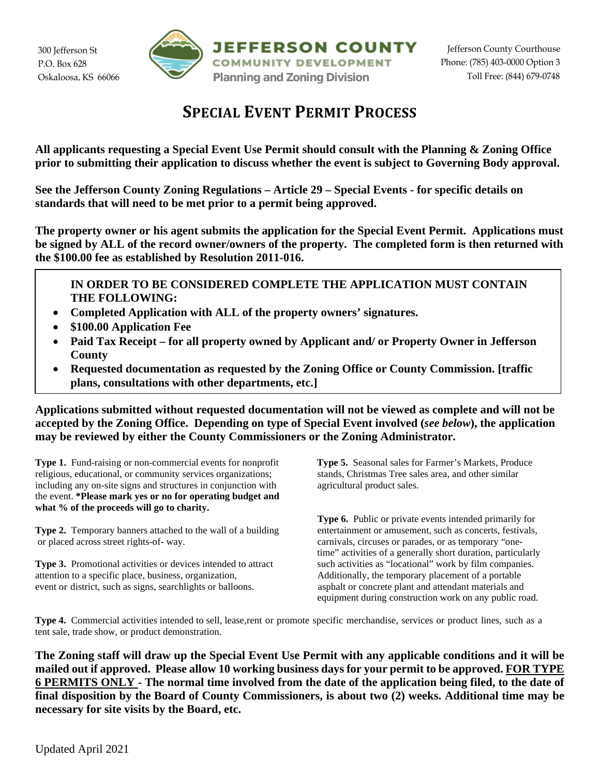300 Jefferson St P.O. Box 628 Oskaloosa, KS 66066



## **SPECIAL EVENT PERMIT PROCESS**

**All applicants requesting a Special Event Use Permit should consult with the Planning & Zoning Office prior to submitting their application to discuss whether the event is subject to Governing Body approval.**

**See the Jefferson County Zoning Regulations – Article 29 – Special Events - for specific details on standards that will need to be met prior to a permit being approved.**

**The property owner or his agent submits the application for the Special Event Permit. Applications must be signed by ALL of the record owner/owners of the property. The completed form is then returned with the \$100.00 fee as established by Resolution 2011-016.**

**IN ORDER TO BE CONSIDERED COMPLETE THE APPLICATION MUST CONTAIN THE FOLLOWING:**

- **Completed Application with ALL of the property owners' signatures.**
- **\$100.00 Application Fee**
- **Paid Tax Receipt – for all property owned by Applicant and/ or Property Owner in Jefferson County**
- **Requested documentation as requested by the Zoning Office or County Commission. [traffic plans, consultations with other departments, etc.]**

**Applications submitted without requested documentation will not be viewed as complete and will not be accepted by the Zoning Office. Depending on type of Special Event involved (***see below***), the application may be reviewed by either the County Commissioners or the Zoning Administrator.**

**Type 1.** Fund-raising or non-commercial events for nonprofit **Type 5.** Seasonal sales for Farmer's Markets, Produce religious, educational, or community services organizations; stands, Christmas Tree sales area, and other religious, educational, or community services organizations; including any on-site signs and structures in conjunction with agricultural product sales. the event. **\*Please mark yes or no for operating budget and what % of the proceeds will go to charity.**

**Type 2.** Temporary banners attached to the wall of a building entertainment or amusement, such as concerts, festivals, or placed across street rights-of- way. carnivals, circuses or parades, or as temporary "one-

**Type 3.** Promotional activities or devices intended to attract such activities as "locational" work by film companies. attention to a specific place, business, organization, Additionally, the temporary placement of a portable event or district, such as signs, searchlights or balloons. asphalt or concrete plant and attendant materials and

**Type 6.** Public or private events intended primarily for time" activities of a generally short duration, particularly equipment during construction work on any public road.

**Type 4.** Commercial activities intended to sell, lease,rent or promote specific merchandise, services or product lines, such as a tent sale, trade show, or product demonstration.

**The Zoning staff will draw up the Special Event Use Permit with any applicable conditions and it will be mailed out if approved. Please allow 10 working business days for your permit to be approved. FOR TYPE 6 PERMITS ONLY - The normal time involved from the date of the application being filed, to the date of final disposition by the Board of County Commissioners, is about two (2) weeks. Additional time may be necessary for site visits by the Board, etc.**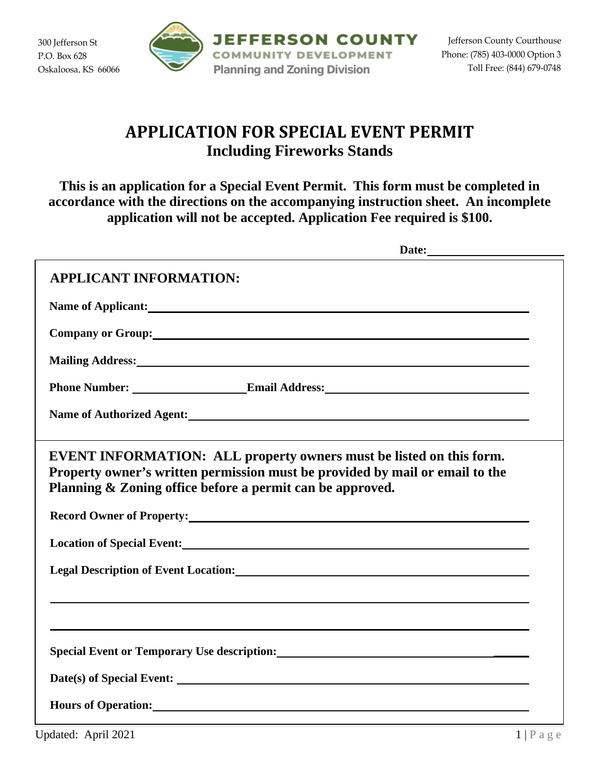

# **APPLICATION FOR SPECIAL EVENT PERMIT Including Fireworks Stands**

**This is an application for a Special Event Permit. This form must be completed in accordance with the directions on the accompanying instruction sheet. An incomplete application will not be accepted. Application Fee required is \$100.**

| Date:                                                                                                                                                                                                                          |  |
|--------------------------------------------------------------------------------------------------------------------------------------------------------------------------------------------------------------------------------|--|
| <b>APPLICANT INFORMATION:</b>                                                                                                                                                                                                  |  |
| Name of Applicant: Name of Applicant and Applicant and Applicant and Applicant and Applicant and Applicant and Applicant and Applicant and Applicant and Applicant and Applicant and Applicant and Applicant and Applicant and |  |
| Company or Group: 1999. The Company of Group:                                                                                                                                                                                  |  |
| Mailing Address: National Address: National Address: National Address: National Address: National Address: National Address: National Address: National Address: National Address: National Address: National Address: Nationa |  |
|                                                                                                                                                                                                                                |  |
| Name of Authorized Agent: Manual Accounts of Authorized Agent:                                                                                                                                                                 |  |
| EVENT INFORMATION: ALL property owners must be listed on this form.<br>Property owner's written permission must be provided by mail or email to the<br>Planning & Zoning office before a permit can be approved.               |  |
| Record Owner of Property: Next Assembly and Second Owner of Property:                                                                                                                                                          |  |
| Location of Special Event: New York 1988 and 2008 and 2008 and 2008 and 2008 and 2008 and 2008 and 2008 and 20                                                                                                                 |  |
| Legal Description of Event Location: Notice of the Contract of Event Location:                                                                                                                                                 |  |
|                                                                                                                                                                                                                                |  |
| Special Event or Temporary Use description:<br><u>Special Event or Temporary Use description:</u>                                                                                                                              |  |
|                                                                                                                                                                                                                                |  |
| Hours of Operation: Note that the set of the set of the set of the set of the set of the set of the set of the set of the set of the set of the set of the set of the set of the set of the set of the set of the set of the s |  |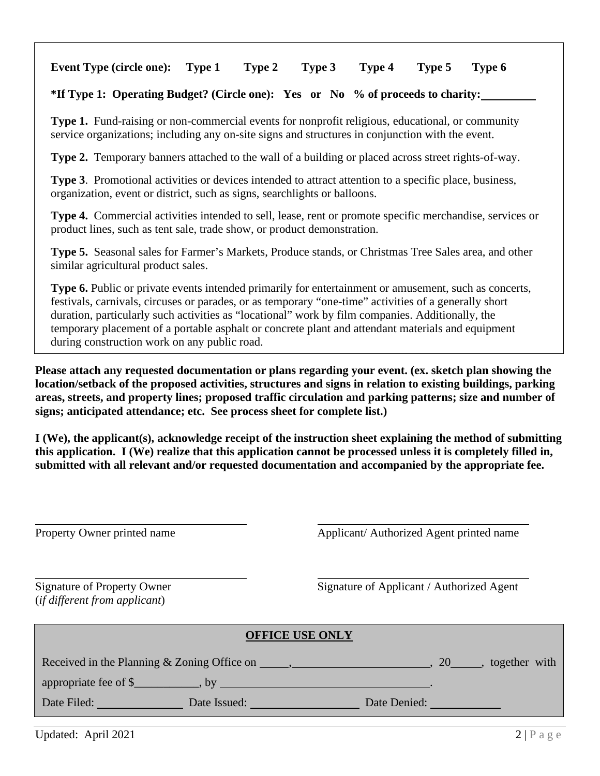## **Event Type (circle one): Type 1 Type 2 Type 3 Type 4 Type 5 Type 6**

### **\*If Type 1: Operating Budget? (Circle one): Yes or No % of proceeds to charity:**

**Type 1.** Fund-raising or non-commercial events for nonprofit religious, educational, or community service organizations; including any on-site signs and structures in conjunction with the event.

**Type 2.** Temporary banners attached to the wall of a building or placed across street rights-of-way.

**Type 3.** Promotional activities or devices intended to attract attention to a specific place, business, organization, event or district, such as signs, searchlights or balloons.

 **Type 4.** Commercial activities intended to sell, lease, rent or promote specific merchandise, services or product lines, such as tent sale, trade show, or product demonstration.

 **Type 5.** Seasonal sales for Farmer's Markets, Produce stands, or Christmas Tree Sales area, and other similar agricultural product sales.

**Type 6.** Public or private events intended primarily for entertainment or amusement, such as concerts, festivals, carnivals, circuses or parades, or as temporary "one-time" activities of a generally short duration, particularly such activities as "locational" work by film companies. Additionally, the temporary placement of a portable asphalt or concrete plant and attendant materials and equipment during construction work on any public road.

**Please attach any requested documentation or plans regarding your event. (ex. sketch plan showing the location/setback of the proposed activities, structures and signs in relation to existing buildings, parking areas, streets, and property lines; proposed traffic circulation and parking patterns; size and number of signs; anticipated attendance; etc. See process sheet for complete list.)**

**I (We), the applicant(s), acknowledge receipt of the instruction sheet explaining the method of submitting this application. I (We) realize that this application cannot be processed unless it is completely filled in, submitted with all relevant and/or requested documentation and accompanied by the appropriate fee.**

| Property Owner printed name |  |  |  |
|-----------------------------|--|--|--|
|-----------------------------|--|--|--|

Applicant/ Authorized Agent printed name

(*if different from applicant*)

Signature of Property Owner Signature of Applicant / Authorized Agent

| <b>OFFICE USE ONLY</b> |                                                             |  |                          |  |  |  |
|------------------------|-------------------------------------------------------------|--|--------------------------|--|--|--|
|                        | Received in the Planning & Zoning Office on $\qquad \qquad$ |  | 20 ______, together with |  |  |  |
|                        |                                                             |  |                          |  |  |  |
| Date Filed:            | Date Issued:                                                |  | Date Denied:             |  |  |  |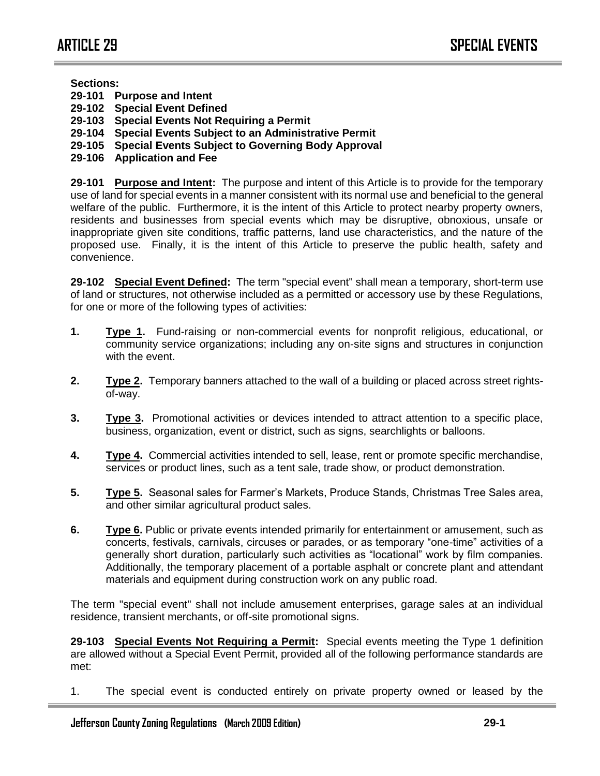#### **Sections:**

- **29-101 Purpose and Intent**
- **29-102 Special Event Defined**
- **29-103 Special Events Not Requiring a Permit**
- **29-104 Special Events Subject to an Administrative Permit**
- **29-105 Special Events Subject to Governing Body Approval**
- **29-106 Application and Fee**

**29-101 Purpose and Intent:** The purpose and intent of this Article is to provide for the temporary use of land for special events in a manner consistent with its normal use and beneficial to the general welfare of the public. Furthermore, it is the intent of this Article to protect nearby property owners, residents and businesses from special events which may be disruptive, obnoxious, unsafe or inappropriate given site conditions, traffic patterns, land use characteristics, and the nature of the proposed use. Finally, it is the intent of this Article to preserve the public health, safety and convenience.

**29-102 Special Event Defined:** The term "special event" shall mean a temporary, short-term use of land or structures, not otherwise included as a permitted or accessory use by these Regulations, for one or more of the following types of activities:

- **1. Type 1.** Fund-raising or non-commercial events for nonprofit religious, educational, or community service organizations; including any on-site signs and structures in conjunction with the event.
- **2. Type 2.** Temporary banners attached to the wall of a building or placed across street rightsof-way.
- **3. Type 3.** Promotional activities or devices intended to attract attention to a specific place, business, organization, event or district, such as signs, searchlights or balloons.
- **4. Type 4.** Commercial activities intended to sell, lease, rent or promote specific merchandise, services or product lines, such as a tent sale, trade show, or product demonstration.
- **5. Type 5.** Seasonal sales for Farmer's Markets, Produce Stands, Christmas Tree Sales area, and other similar agricultural product sales.
- **6. Type 6.** Public or private events intended primarily for entertainment or amusement, such as concerts, festivals, carnivals, circuses or parades, or as temporary "one-time" activities of a generally short duration, particularly such activities as "locational" work by film companies. Additionally, the temporary placement of a portable asphalt or concrete plant and attendant materials and equipment during construction work on any public road.

The term "special event" shall not include amusement enterprises, garage sales at an individual residence, transient merchants, or off-site promotional signs.

**29-103 Special Events Not Requiring a Permit:** Special events meeting the Type 1 definition are allowed without a Special Event Permit, provided all of the following performance standards are met:

1. The special event is conducted entirely on private property owned or leased by the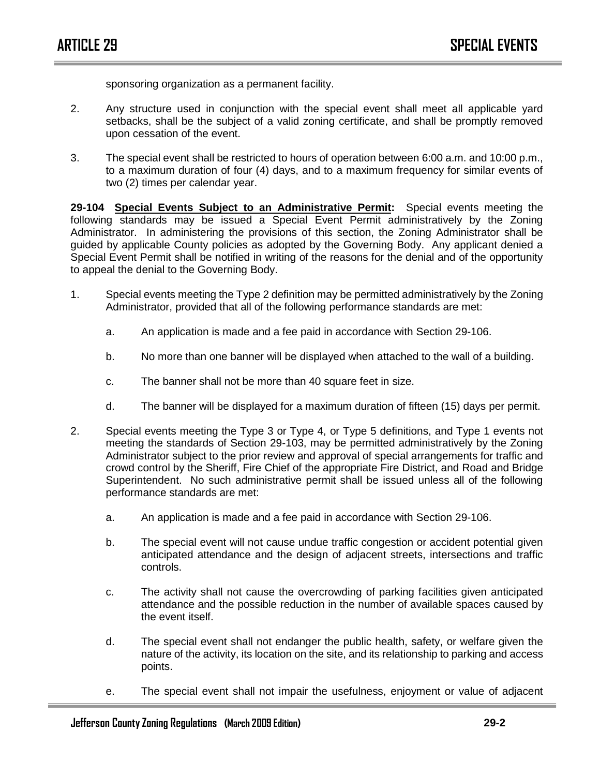sponsoring organization as a permanent facility.

- 2. Any structure used in conjunction with the special event shall meet all applicable yard setbacks, shall be the subject of a valid zoning certificate, and shall be promptly removed upon cessation of the event.
- 3. The special event shall be restricted to hours of operation between 6:00 a.m. and 10:00 p.m., to a maximum duration of four (4) days, and to a maximum frequency for similar events of two (2) times per calendar year.

**29-104 Special Events Subject to an Administrative Permit:** Special events meeting the following standards may be issued a Special Event Permit administratively by the Zoning Administrator. In administering the provisions of this section, the Zoning Administrator shall be guided by applicable County policies as adopted by the Governing Body. Any applicant denied a Special Event Permit shall be notified in writing of the reasons for the denial and of the opportunity to appeal the denial to the Governing Body.

- 1. Special events meeting the Type 2 definition may be permitted administratively by the Zoning Administrator, provided that all of the following performance standards are met:
	- a. An application is made and a fee paid in accordance with Section 29-106.
	- b. No more than one banner will be displayed when attached to the wall of a building.
	- c. The banner shall not be more than 40 square feet in size.
	- d. The banner will be displayed for a maximum duration of fifteen (15) days per permit.
- 2. Special events meeting the Type 3 or Type 4, or Type 5 definitions, and Type 1 events not meeting the standards of Section 29-103, may be permitted administratively by the Zoning Administrator subject to the prior review and approval of special arrangements for traffic and crowd control by the Sheriff, Fire Chief of the appropriate Fire District, and Road and Bridge Superintendent. No such administrative permit shall be issued unless all of the following performance standards are met:
	- a. An application is made and a fee paid in accordance with Section 29-106.
	- b. The special event will not cause undue traffic congestion or accident potential given anticipated attendance and the design of adjacent streets, intersections and traffic controls.
	- c. The activity shall not cause the overcrowding of parking facilities given anticipated attendance and the possible reduction in the number of available spaces caused by the event itself.
	- d. The special event shall not endanger the public health, safety, or welfare given the nature of the activity, its location on the site, and its relationship to parking and access points.
	- e. The special event shall not impair the usefulness, enjoyment or value of adjacent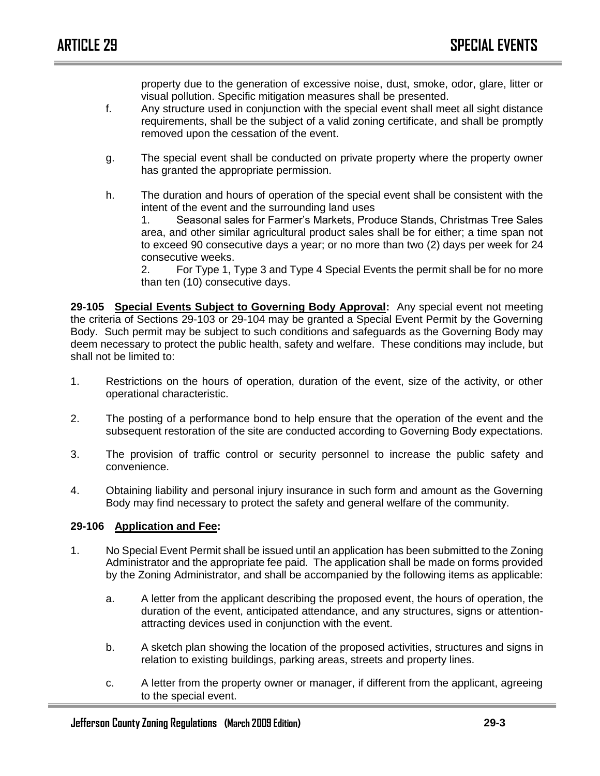property due to the generation of excessive noise, dust, smoke, odor, glare, litter or visual pollution. Specific mitigation measures shall be presented.

- f. Any structure used in conjunction with the special event shall meet all sight distance requirements, shall be the subject of a valid zoning certificate, and shall be promptly removed upon the cessation of the event.
- g. The special event shall be conducted on private property where the property owner has granted the appropriate permission.
- h. The duration and hours of operation of the special event shall be consistent with the intent of the event and the surrounding land uses

1. Seasonal sales for Farmer's Markets, Produce Stands, Christmas Tree Sales area, and other similar agricultural product sales shall be for either; a time span not to exceed 90 consecutive days a year; or no more than two (2) days per week for 24 consecutive weeks.

2. For Type 1, Type 3 and Type 4 Special Events the permit shall be for no more than ten (10) consecutive days.

**29-105 Special Events Subject to Governing Body Approval:** Any special event not meeting the criteria of Sections 29-103 or 29-104 may be granted a Special Event Permit by the Governing Body. Such permit may be subject to such conditions and safeguards as the Governing Body may deem necessary to protect the public health, safety and welfare. These conditions may include, but shall not be limited to:

- 1. Restrictions on the hours of operation, duration of the event, size of the activity, or other operational characteristic.
- 2. The posting of a performance bond to help ensure that the operation of the event and the subsequent restoration of the site are conducted according to Governing Body expectations.
- 3. The provision of traffic control or security personnel to increase the public safety and convenience.
- 4. Obtaining liability and personal injury insurance in such form and amount as the Governing Body may find necessary to protect the safety and general welfare of the community.

#### **29-106 Application and Fee:**

- 1. No Special Event Permit shall be issued until an application has been submitted to the Zoning Administrator and the appropriate fee paid. The application shall be made on forms provided by the Zoning Administrator, and shall be accompanied by the following items as applicable:
	- a. A letter from the applicant describing the proposed event, the hours of operation, the duration of the event, anticipated attendance, and any structures, signs or attentionattracting devices used in conjunction with the event.
	- b. A sketch plan showing the location of the proposed activities, structures and signs in relation to existing buildings, parking areas, streets and property lines.
	- c. A letter from the property owner or manager, if different from the applicant, agreeing to the special event.